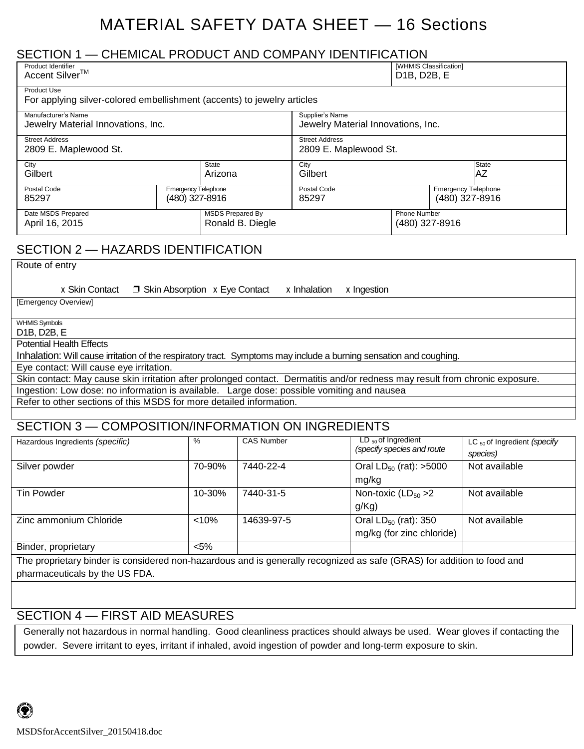# MATERIAL SAFETY DATA SHEET — 16 Sections

### SECTION 1 — CHEMICAL PRODUCT AND COMPANY IDENTIFICATION

| SECTION 1 — CHEMICAL PRODUCT AND COMPANY IDENTIFICATION<br>Product Identifier                                                                                 |                                       |                                             |                                                                      | [WHMIS Classification]                                |                                                     |  |
|---------------------------------------------------------------------------------------------------------------------------------------------------------------|---------------------------------------|---------------------------------------------|----------------------------------------------------------------------|-------------------------------------------------------|-----------------------------------------------------|--|
| Accent Silver™                                                                                                                                                |                                       |                                             |                                                                      | D1B, D2B, E                                           |                                                     |  |
| <b>Product Use</b><br>For applying silver-colored embellishment (accents) to jewelry articles                                                                 |                                       |                                             |                                                                      |                                                       |                                                     |  |
| Manufacturer's Name<br>Jewelry Material Innovations, Inc.                                                                                                     |                                       |                                             | Supplier's Name<br>Jewelry Material Innovations, Inc.                |                                                       |                                                     |  |
| <b>Street Address</b><br>2809 E. Maplewood St.                                                                                                                |                                       |                                             | <b>Street Address</b><br>2809 E. Maplewood St.                       |                                                       |                                                     |  |
| City<br>Gilbert                                                                                                                                               | State<br>Arizona                      |                                             | City<br>State<br>AZ<br>Gilbert                                       |                                                       |                                                     |  |
| Postal Code<br>85297                                                                                                                                          | Emergency Telephone<br>(480) 327-8916 |                                             | Postal Code<br><b>Emergency Telephone</b><br>85297<br>(480) 327-8916 |                                                       |                                                     |  |
| Date MSDS Prepared<br>April 16, 2015                                                                                                                          |                                       | <b>MSDS Prepared By</b><br>Ronald B. Diegle |                                                                      | Phone Number                                          | (480) 327-8916                                      |  |
| SECTION 2 - HAZARDS IDENTIFICATION                                                                                                                            |                                       |                                             |                                                                      |                                                       |                                                     |  |
| Route of entry                                                                                                                                                |                                       |                                             |                                                                      |                                                       |                                                     |  |
| x Skin Contact                                                                                                                                                | □ Skin Absorption x Eye Contact       | x Inhalation                                | x Ingestion                                                          |                                                       |                                                     |  |
| [Emergency Overview]                                                                                                                                          |                                       |                                             |                                                                      |                                                       |                                                     |  |
| <b>WHMIS Symbols</b><br>D1B, D2B, E                                                                                                                           |                                       |                                             |                                                                      |                                                       |                                                     |  |
| <b>Potential Health Effects</b>                                                                                                                               |                                       |                                             |                                                                      |                                                       |                                                     |  |
| Inhalation: Will cause irritation of the respiratory tract. Symptoms may include a burning sensation and coughing.<br>Eye contact: Will cause eye irritation. |                                       |                                             |                                                                      |                                                       |                                                     |  |
| Skin contact: May cause skin irritation after prolonged contact. Dermatitis and/or redness may result from chronic exposure.                                  |                                       |                                             |                                                                      |                                                       |                                                     |  |
| Ingestion: Low dose: no information is available. Large dose: possible vomiting and nausea                                                                    |                                       |                                             |                                                                      |                                                       |                                                     |  |
| Refer to other sections of this MSDS for more detailed information.                                                                                           |                                       |                                             |                                                                      |                                                       |                                                     |  |
| SECTION 3 - COMPOSITION/INFORMATION ON INGREDIENTS                                                                                                            |                                       |                                             |                                                                      |                                                       |                                                     |  |
| Hazardous Ingredients (specific)                                                                                                                              | %                                     | <b>CAS Number</b>                           |                                                                      | $LD_{50}$ of Ingredient<br>(specify species and route | LC <sub>50</sub> of Ingredient (specify<br>species) |  |
| Silver powder                                                                                                                                                 | 70-90%                                | 7440-22-4                                   | mg/kg                                                                | Oral $LD_{50}$ (rat): >5000                           | Not available                                       |  |
| <b>Tin Powder</b>                                                                                                                                             | 10-30%                                | 7440-31-5                                   | $g/Kg$ )                                                             | Non-toxic $(LD_{50} >2)$                              | Not available                                       |  |

Binder, proprietary <5% The proprietary binder is considered non-hazardous and is generally recognized as safe (GRAS) for addition to food and pharmaceuticals by the US FDA.

 $\frac{1}{2}$  Zinc ammonium Chloride  $\vert$  <10%  $\vert$  14639-97-5  $\vert$  Oral LD<sub>50</sub> (rat): 350

#### SECTION 4 — FIRST AID MEASURES

Generally not hazardous in normal handling. Good cleanliness practices should always be used. Wear gloves if contacting the powder. Severe irritant to eyes, irritant if inhaled, avoid ingestion of powder and long-term exposure to skin.

mg/kg (for zinc chloride)

Not available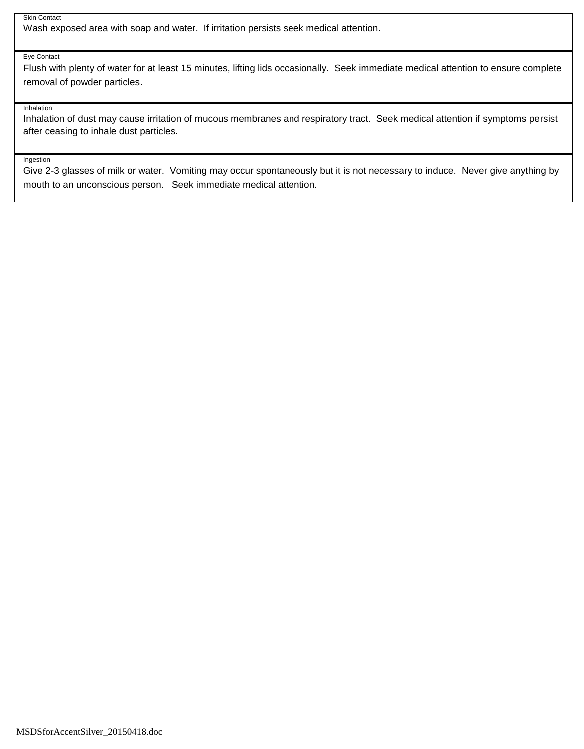#### Skin Contact

Wash exposed area with soap and water. If irritation persists seek medical attention.

#### Eye Contact

Flush with plenty of water for at least 15 minutes, lifting lids occasionally. Seek immediate medical attention to ensure complete removal of powder particles.

Inhalation

Inhalation of dust may cause irritation of mucous membranes and respiratory tract. Seek medical attention if symptoms persist after ceasing to inhale dust particles.

Ingestion

Give 2-3 glasses of milk or water. Vomiting may occur spontaneously but it is not necessary to induce. Never give anything by mouth to an unconscious person. Seek immediate medical attention.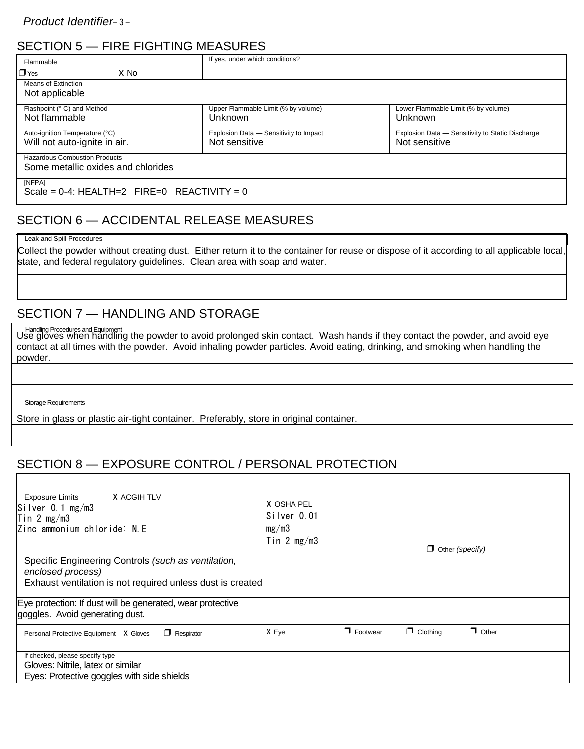### SECTION 5 — FIRE FIGHTING MEASURES

| Flammable                                                | If yes, under which conditions?        |                                                  |
|----------------------------------------------------------|----------------------------------------|--------------------------------------------------|
| $\Box$ Yes<br>X No                                       |                                        |                                                  |
| Means of Extinction<br>Not applicable                    |                                        |                                                  |
| Flashpoint (° C) and Method                              | Upper Flammable Limit (% by volume)    | Lower Flammable Limit (% by volume)              |
| Not flammable                                            | <b>Unknown</b>                         | Unknown                                          |
| Auto-ignition Temperature (°C)                           | Explosion Data - Sensitivity to Impact | Explosion Data - Sensitivity to Static Discharge |
| Will not auto-ignite in air.                             | Not sensitive                          | Not sensitive                                    |
| <b>Hazardous Combustion Products</b>                     |                                        |                                                  |
| Some metallic oxides and chlorides                       |                                        |                                                  |
| [NFPA]<br>Scale = $0-4$ : HEALTH=2 FIRE=0 REACTIVITY = 0 |                                        |                                                  |

#### SECTION 6 — ACCIDENTAL RELEASE MEASURES

#### Leak and Spill Procedures

Collect the powder without creating dust. Either return it to the container for reuse or dispose of it according to all applicable local, state, and federal regulatory guidelines. Clean area with soap and water.

#### SECTION 7 — HANDLING AND STORAGE

Use gloves when handling the powder to avoid prolonged skin contact. Wash hands if they contact the powder, and avoid eye Handling Procedures and Equipmentcontact at all times with the powder. Avoid inhaling powder particles. Avoid eating, drinking, and smoking when handling the powder.

#### **Storage Requirements**

Store in glass or plastic air-tight container. Preferably, store in original container.

### SECTION 8 — EXPOSURE CONTROL / PERSONAL PROTECTION

| X ACGIH TLV<br><b>Exposure Limits</b><br>Silver $0.1$ mg/m3<br>Tin $2 \text{ mg/m3}$<br>Zinc ammonium chloride: N.E.                   | X OSHA PEL<br>Silver 0.01<br>mg/m3<br>Tin 2 $mg/m3$ |                 | $\Box$ Other (specify) |              |
|----------------------------------------------------------------------------------------------------------------------------------------|-----------------------------------------------------|-----------------|------------------------|--------------|
| Specific Engineering Controls (such as ventilation,<br>enclosed process)<br>Exhaust ventilation is not required unless dust is created |                                                     |                 |                        |              |
| Eye protection: If dust will be generated, wear protective<br>goggles. Avoid generating dust.                                          |                                                     |                 |                        |              |
| $\Box$ Respirator<br>Personal Protective Equipment X Gloves                                                                            | X Eye                                               | $\Box$ Footwear | $\Box$ Clothing        | $\Box$ Other |
| If checked, please specify type<br>Gloves: Nitrile, latex or similar<br>Eyes: Protective goggles with side shields                     |                                                     |                 |                        |              |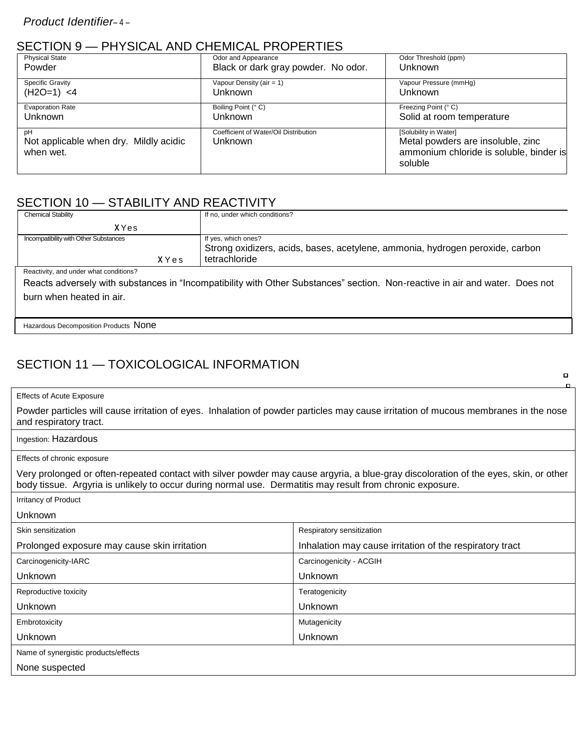#### SECTION 9 — PHYSICAL AND CHEMICAL PROPERTIES

| <b>Physical State</b>                               | Odor and Appearance                   | Odor Threshold (ppm)                                                                    |
|-----------------------------------------------------|---------------------------------------|-----------------------------------------------------------------------------------------|
| Powder                                              | Black or dark gray powder. No odor.   | Unknown                                                                                 |
| <b>Specific Gravity</b>                             | Vapour Density (air = $1$ )           | Vapour Pressure (mmHq)                                                                  |
| $(H2O=1) < 4$                                       | Unknown                               | Unknown                                                                                 |
| <b>Evaporation Rate</b>                             | Boiling Point (° C)                   | Freezing Point (° C)                                                                    |
| <b>Unknown</b>                                      | Unknown                               | Solid at room temperature                                                               |
| рH                                                  | Coefficient of Water/Oil Distribution | [Solubility in Water]                                                                   |
| Not applicable when dry. Mildly acidic<br>when wet. | Unknown                               | Metal powders are insoluble, zinc<br>ammonium chloride is soluble, binder is<br>soluble |

## SECTION 10 — STABILITY AND REACTIVITY

| <b>Chemical Stability</b>              | If no, under which conditions?                                                                                               |
|----------------------------------------|------------------------------------------------------------------------------------------------------------------------------|
| XYes                                   |                                                                                                                              |
| Incompatibility with Other Substances  | If yes, which ones?                                                                                                          |
|                                        | Strong oxidizers, acids, bases, acetylene, ammonia, hydrogen peroxide, carbon                                                |
| XYes                                   | tetrachloride                                                                                                                |
| Reactivity, and under what conditions? |                                                                                                                              |
|                                        | Reacts adversely with substances in "Incompatibility with Other Substances" section. Non-reactive in air and water. Does not |

burn when heated in air.

Hazardous Decomposition Products None

## SECTION 11 — TOXICOLOGICAL INFORMATION

Effects of Acute Exposure

Powder particles will cause irritation of eyes. Inhalation of powder particles may cause irritation of mucous membranes in the nose and respiratory tract.

 $\blacksquare$ n

Ingestion: Hazardous

Effects of chronic exposure

Very prolonged or often-repeated contact with silver powder may cause argyria, a blue-gray discoloration of the eyes, skin, or other body tissue. Argyria is unlikely to occur during normal use. Dermatitis may result from chronic exposure.

Irritancy of Product

| Unknown                                      |                                                          |  |
|----------------------------------------------|----------------------------------------------------------|--|
| Skin sensitization                           | Respiratory sensitization                                |  |
| Prolonged exposure may cause skin irritation | Inhalation may cause irritation of the respiratory tract |  |
| Carcinogenicity-IARC                         | Carcinogenicity - ACGIH                                  |  |
| <b>Unknown</b>                               | <b>Unknown</b>                                           |  |
| Reproductive toxicity                        | Teratogenicity                                           |  |
| Unknown                                      | Unknown                                                  |  |
| Embrotoxicity                                | Mutagenicity                                             |  |
| <b>Unknown</b>                               | Unknown                                                  |  |
| Name of synergistic products/effects         |                                                          |  |
| None suspected                               |                                                          |  |
|                                              |                                                          |  |